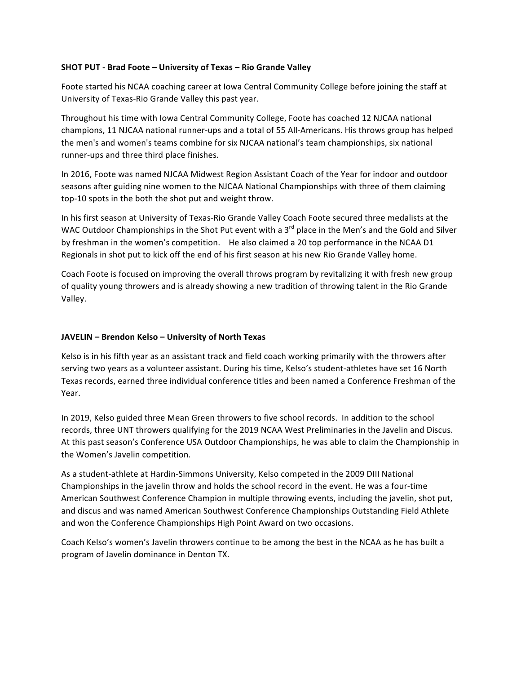## **SHOT PUT - Brad Foote – University of Texas – Rio Grande Valley**

Foote started his NCAA coaching career at lowa Central Community College before joining the staff at University of Texas-Rio Grande Valley this past year.

Throughout his time with lowa Central Community College, Foote has coached 12 NJCAA national champions, 11 NJCAA national runner-ups and a total of 55 All-Americans. His throws group has helped the men's and women's teams combine for six NJCAA national's team championships, six national runner-ups and three third place finishes.

In 2016, Foote was named NJCAA Midwest Region Assistant Coach of the Year for indoor and outdoor seasons after guiding nine women to the NJCAA National Championships with three of them claiming top-10 spots in the both the shot put and weight throw.

In his first season at University of Texas-Rio Grande Valley Coach Foote secured three medalists at the WAC Outdoor Championships in the Shot Put event with a 3<sup>rd</sup> place in the Men's and the Gold and Silver by freshman in the women's competition. He also claimed a 20 top performance in the NCAA D1 Regionals in shot put to kick off the end of his first season at his new Rio Grande Valley home.

Coach Foote is focused on improving the overall throws program by revitalizing it with fresh new group of quality young throwers and is already showing a new tradition of throwing talent in the Rio Grande Valley. 

## **JAVELIN** – Brendon Kelso – University of North Texas

Kelso is in his fifth year as an assistant track and field coach working primarily with the throwers after serving two years as a volunteer assistant. During his time, Kelso's student-athletes have set 16 North Texas records, earned three individual conference titles and been named a Conference Freshman of the Year.

In 2019, Kelso guided three Mean Green throwers to five school records. In addition to the school records, three UNT throwers qualifying for the 2019 NCAA West Preliminaries in the Javelin and Discus. At this past season's Conference USA Outdoor Championships, he was able to claim the Championship in the Women's Javelin competition.

As a student-athlete at Hardin-Simmons University, Kelso competed in the 2009 DIII National Championships in the javelin throw and holds the school record in the event. He was a four-time American Southwest Conference Champion in multiple throwing events, including the javelin, shot put, and discus and was named American Southwest Conference Championships Outstanding Field Athlete and won the Conference Championships High Point Award on two occasions.

Coach Kelso's women's Javelin throwers continue to be among the best in the NCAA as he has built a program of Javelin dominance in Denton TX.